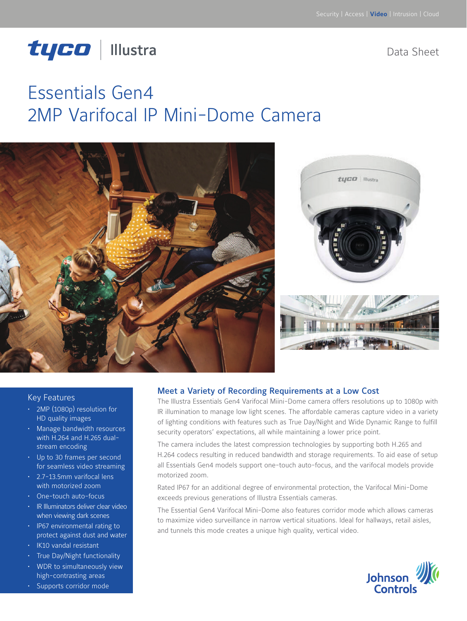# tyco | Illustra

Data Sheet

# Essentials Gen4 2MP Varifocal IP Mini-Dome Camera



#### Key Features

- 2MP (1080p) resolution for HD quality images
- Manage bandwidth resources with H.264 and H.265 dualstream encoding
- Up to 30 frames per second for seamless video streaming
- 2.7-13.5mm varifocal lens with motorized zoom
- One-touch auto-focus
- IR Illuminators deliver clear video when viewing dark scenes
- IP67 environmental rating to protect against dust and water
- IK10 vandal resistant
- True Day/Night functionality
- WDR to simultaneously view high-contrasting areas
- Supports corridor mode

#### Meet a Variety of Recording Requirements at a Low Cost

The Illustra Essentials Gen4 Varifocal Miini-Dome camera offers resolutions up to 1080p with IR illumination to manage low light scenes. The affordable cameras capture video in a variety of lighting conditions with features such as True Day/Night and Wide Dynamic Range to fulfill security operators' expectations, all while maintaining a lower price point.

The camera includes the latest compression technologies by supporting both H.265 and H.264 codecs resulting in reduced bandwidth and storage requirements. To aid ease of setup all Essentials Gen4 models support one-touch auto-focus, and the varifocal models provide motorized zoom.

Rated IP67 for an additional degree of environmental protection, the Varifocal Mini-Dome exceeds previous generations of Illustra Essentials cameras.

The Essential Gen4 Varifocal Mini-Dome also features corridor mode which allows cameras to maximize video surveillance in narrow vertical situations. Ideal for hallways, retail aisles, and tunnels this mode creates a unique high quality, vertical video.

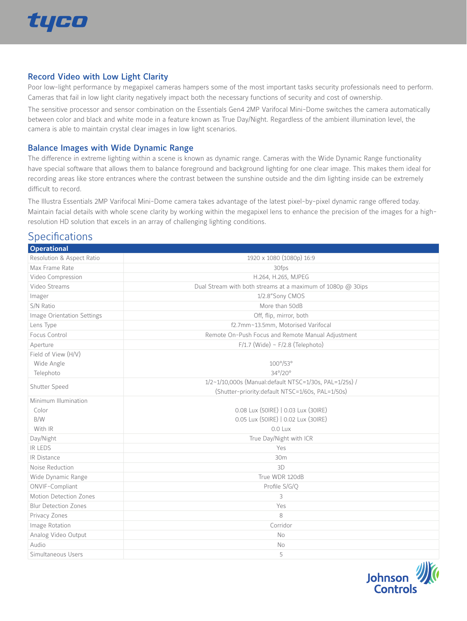

#### Record Video with Low Light Clarity

Poor low-light performance by megapixel cameras hampers some of the most important tasks security professionals need to perform. Cameras that fail in low light clarity negatively impact both the necessary functions of security and cost of ownership.

The sensitive processor and sensor combination on the Essentials Gen4 2MP Varifocal Mini-Dome switches the camera automatically between color and black and white mode in a feature known as True Day/Night. Regardless of the ambient illumination level, the camera is able to maintain crystal clear images in low light scenarios.

#### Balance Images with Wide Dynamic Range

The difference in extreme lighting within a scene is known as dynamic range. Cameras with the Wide Dynamic Range functionality have special software that allows them to balance foreground and background lighting for one clear image. This makes them ideal for recording areas like store entrances where the contrast between the sunshine outside and the dim lighting inside can be extremely difficult to record.

The Illustra Essentials 2MP Varifocal Mini-Dome camera takes advantage of the latest pixel-by-pixel dynamic range offered today. Maintain facial details with whole scene clarity by working within the megapixel lens to enhance the precision of the images for a highresolution HD solution that excels in an array of challenging lighting conditions.

### **Specifications**

| <b>Operational</b>          |                                                             |
|-----------------------------|-------------------------------------------------------------|
| Resolution & Aspect Ratio   | 1920 x 1080 (1080p) 16:9                                    |
| Max Frame Rate              | 30fps                                                       |
| Video Compression           | H.264, H.265, MJPEG                                         |
| Video Streams               | Dual Stream with both streams at a maximum of 1080p @ 30ips |
| Imager                      | 1/2.8"Sony CMOS                                             |
| S/N Ratio                   | More than 50dB                                              |
| Image Orientation Settings  | Off, flip, mirror, both                                     |
| Lens Type                   | f2.7mm~13.5mm, Motorised Varifocal                          |
| Focus Control               | Remote On-Push Focus and Remote Manual Adjustment           |
| Aperture                    | $F/1.7$ (Wide) ~ $F/2.8$ (Telephoto)                        |
| Field of View (H/V)         |                                                             |
| Wide Angle                  | $100^\circ/53^\circ$                                        |
| Telephoto                   | 34°/20°                                                     |
| Shutter Speed               | 1/2~1/10,000s (Manual:default NTSC=1/30s, PAL=1/25s) /      |
|                             | (Shutter-priority:default NTSC=1/60s, PAL=1/50s)            |
| Minimum Illumination        |                                                             |
| Color                       | 0.08 Lux (50IRE)   0.03 Lux (30IRE)                         |
| B/W                         | 0.05 Lux (50IRE)   0.02 Lux (30IRE)                         |
| With IR                     | 0.0 Lux                                                     |
| Day/Night                   | True Day/Night with ICR                                     |
| <b>IR LEDS</b>              | Yes                                                         |
| <b>IR Distance</b>          | 30m                                                         |
| Noise Reduction             | 3D                                                          |
| Wide Dynamic Range          | True WDR 120dB                                              |
| ONVIF-Compliant             | Profile S/G/Q                                               |
| Motion Detection Zones      | 3                                                           |
| <b>Blur Detection Zones</b> | Yes                                                         |
| Privacy Zones               | 8                                                           |
| Image Rotation              | Corridor                                                    |
| Analog Video Output         | <b>No</b>                                                   |
| Audio                       | No                                                          |
| Simultaneous Users          | 5                                                           |

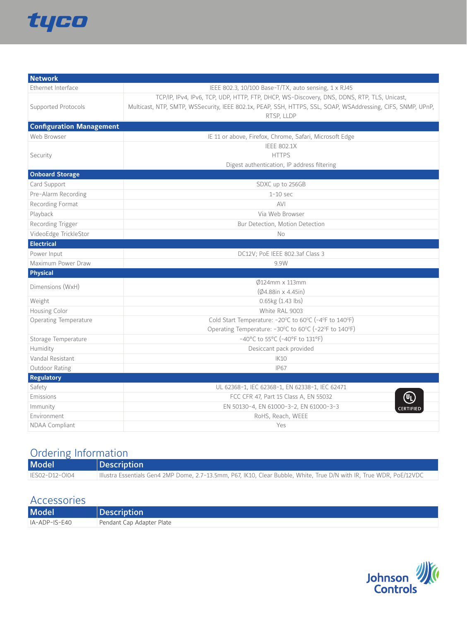

| <b>Network</b>                  |                                                                                                             |
|---------------------------------|-------------------------------------------------------------------------------------------------------------|
| Ethernet Interface              | IEEE 802.3, 10/100 Base-T/TX, auto sensing, 1 x RJ45                                                        |
|                                 | TCP/IP, IPv4, IPv6, TCP, UDP, HTTP, FTP, DHCP, WS-Discovery, DNS, DDNS, RTP, TLS, Unicast,                  |
| Supported Protocols             | Multicast, NTP, SMTP, WSSecurity, IEEE 802.1x, PEAP, SSH, HTTPS, SSL, SOAP, WSAddressing, CIFS, SNMP, UPnP, |
|                                 | RTSP, LLDP                                                                                                  |
| <b>Configuration Management</b> |                                                                                                             |
| Web Browser                     | IE 11 or above, Firefox, Chrome, Safari, Microsoft Edge                                                     |
|                                 | <b>IEEE 802.1X</b>                                                                                          |
| Security                        | <b>HTTPS</b>                                                                                                |
|                                 | Digest authentication, IP address filtering                                                                 |
| <b>Onboard Storage</b>          |                                                                                                             |
| Card Support                    | SDXC up to 256GB                                                                                            |
| Pre-Alarm Recording             | $1-10$ sec                                                                                                  |
| Recording Format                | <b>AVI</b>                                                                                                  |
| Playback                        | Via Web Browser                                                                                             |
| Recording Trigger               | Bur Detection, Motion Detection                                                                             |
| VideoEdge TrickleStor           | No                                                                                                          |
| <b>Electrical</b>               |                                                                                                             |
| Power Input                     | DC12V; PoE IEEE 802.3af Class 3                                                                             |
| Maximum Power Draw              | 9.9W                                                                                                        |
| <b>Physical</b>                 |                                                                                                             |
| Dimensions (WxH)                | $\emptyset$ 124mm x 113mm                                                                                   |
|                                 | $(Ø4.88$ in x 4.45in)                                                                                       |
| Weight                          | $0.65kg(1.43)$ lbs)                                                                                         |
| Housing Color                   | White RAL 9003                                                                                              |
| <b>Operating Temperature</b>    | Cold Start Temperature: -20°C to 60°C (-4°F to 140°F)                                                       |
|                                 | Operating Temperature: -30°C to 60°C (-22°F to 140°F)                                                       |
| Storage Temperature             | -40°C to 55°C (-40°F to 131°F)                                                                              |
| Humidity                        | Desiccant pack provided                                                                                     |
| Vandal Resistant                | <b>IK10</b>                                                                                                 |
| Outdoor Rating                  | <b>IP67</b>                                                                                                 |
| <b>Regulatory</b>               |                                                                                                             |
| Safety<br>Emissions             | UL 62368-1, IEC 62368-1, EN 62338-1, IEC 62471                                                              |
|                                 | FCC CFR 47, Part 15 Class A, EN 55032                                                                       |
| Immunity                        | EN 50130-4, EN 61000-3-2, EN 61000-3-3<br>CERTIFIED                                                         |
| Environment                     | RoHS, Reach, WEEE<br>Yes                                                                                    |
| NDAA Compliant                  |                                                                                                             |

## Ordering Information

| Model          | <b>Description</b>                                                                                                   |
|----------------|----------------------------------------------------------------------------------------------------------------------|
| IES02-D12-0104 | Illustra Essentials Gen4 2MP Dome, 2.7-13.5mm, P67, IK10, Clear Bubble, White, True D/N with IR, True WDR, PoE/12VDC |

### Accessories

| <b>Model</b>  | <b>Description</b>        |
|---------------|---------------------------|
| IA-ADP-IS-E40 | Pendant Cap Adapter Plate |